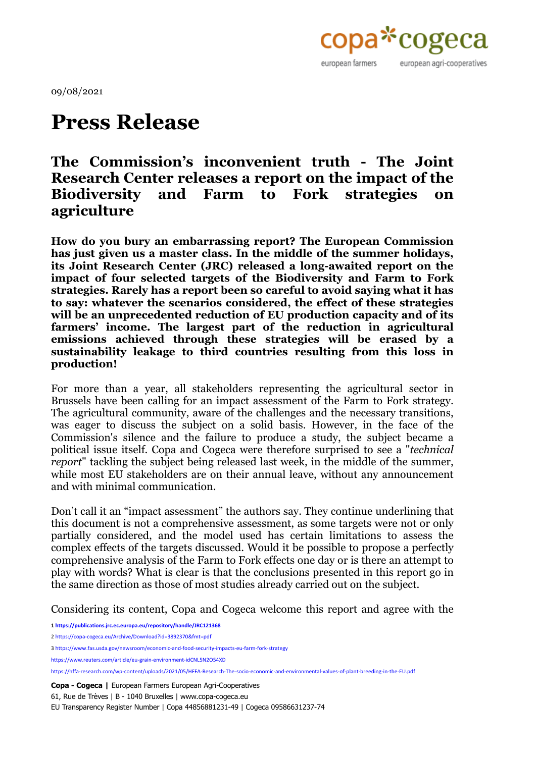

09/08/2021

## **Press Release**

## **The Commission's inconvenient truth - The Joint Research Center releases a report on the impact of the Biodiversity and Farm to Fork strategies on agriculture**

**How do you bury an embarrassing report? The European Commission has just given us a master class. In the middle of the summer holidays, its Joint Research Center (JRC) released a long-awaited report on the impact of four selected targets of the Biodiversity and Farm to Fork strategies. Rarely has a report been so careful to avoid saying what it has to say: whatever the scenarios considered, the effect of these strategies will be an unprecedented reduction of EU production capacity and of its farmers' income. The largest part of the reduction in agricultural emissions achieved through these strategies will be erased by a sustainability leakage to third countries resulting from this loss in production!**

For more than a year, all stakeholders representing the agricultural sector in Brussels have been calling for an impact assessment of the Farm to Fork strategy. The agricultural community, aware of the challenges and the necessary transitions, was eager to discuss the subject on a solid basis. However, in the face of the Commission's silence and the failure to produce a study, the subject became a political issue itself. Copa and Cogeca were therefore surprised to see a "*technical report*" tackling the subject being released last week, in the middle of the summer, while most EU stakeholders are on their annual leave, without any announcement and with minimal communication.

Don't call it an "impact assessment" the authors say. They continue underlining that this document is not a comprehensive assessment, as some targets were not or only partially considered, and the model used has certain limitations to assess the complex effects of the targets discussed. Would it be possible to propose a perfectly comprehensive analysis of the Farm to Fork effects one day or is there an attempt to play with words? What is clear is that the conclusions presented in this report go in the same direction as those of most studies already carried out on the subject.

Considering its content, Copa and Cogeca welcome this report and agree with the

**1 <https://publications.jrc.ec.europa.eu/repository/handle/JRC121368>**

**Copa - Cogeca |** European Farmers European Agri-Cooperatives

61, Rue de Trèves | B - 1040 Bruxelles | www.copa-cogeca.eu

<sup>2</sup> <https://copa-cogeca.eu/Archive/Download?id=3892370&fmt=pdf>

<sup>3</sup> <https://www.fas.usda.gov/newsroom/economic-and-food-security-impacts-eu-farm-fork-strategy>

<https://www.reuters.com/article/eu-grain-environment-idCNL5N2O54XD>

<https://hffa-research.com/wp-content/uploads/2021/05/HFFA-Research-The-socio-economic-and-environmental-values-of-plant-breeding-in-the-EU.pdf>

EU Transparency Register Number | Copa 44856881231-49 | Cogeca 09586631237-74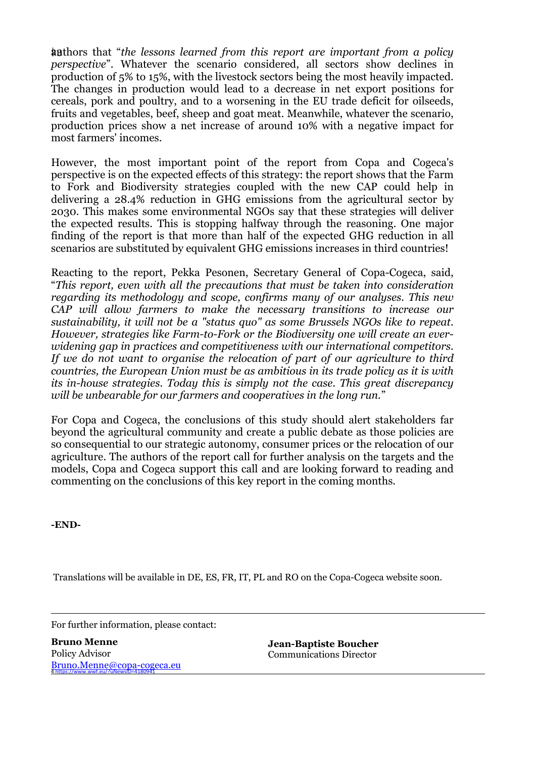2| 3authors that "*the lessons learned from this report are important from a policy perspective*". Whatever the scenario considered, all sectors show declines in production of 5% to 15%, with the livestock sectors being the most heavily impacted. The changes in production would lead to a decrease in net export positions for cereals, pork and poultry, and to a worsening in the EU trade deficit for oilseeds, fruits and vegetables, beef, sheep and goat meat. Meanwhile, whatever the scenario, production prices show a net increase of around 10% with a negative impact for most farmers' incomes.

However, the most important point of the report from Copa and Cogeca's perspective is on the expected effects of this strategy: the report shows that the Farm to Fork and Biodiversity strategies coupled with the new CAP could help in delivering a 28.4% reduction in GHG emissions from the agricultural sector by 2030. This makes some environmental NGOs say that these strategies will deliver the expected results. This is stopping halfway through the reasoning. One major finding of the report is that more than half of the expected GHG reduction in all scenarios are substituted by equivalent GHG emissions increases in third countries!

Reacting to the report, Pekka Pesonen, Secretary General of Copa-Cogeca, said, "*This report, even with all the precautions that must be taken into consideration regarding its methodology and scope, confirms many of our analyses. This new CAP will allow farmers to make the necessary transitions to increase our sustainability, it will not be a "status quo" as some Brussels NGOs like to repeat. However, strategies like Farm-to-Fork or the Biodiversity one will create an everwidening gap in practices and competitiveness with our international competitors. If we do not want to organise the relocation of part of our agriculture to third countries, the European Union must be as ambitious in its trade policy as it is with its in-house strategies. Today this is simply not the case. This great discrepancy will be unbearable for our farmers and cooperatives in the long run.*"

For Copa and Cogeca, the conclusions of this study should alert stakeholders far beyond the agricultural community and create a public debate as those policies are so consequential to our strategic autonomy, consumer prices or the relocation of our agriculture. The authors of the report call for further analysis on the targets and the models, Copa and Cogeca support this call and are looking forward to reading and commenting on the conclusions of this key report in the coming months.

**-END-**

Translations will be available in DE, ES, FR, IT, PL and RO on the Copa-Cogeca website soon.

For further information, please contact:

4 https://www.wwf.eu/?uNewsID=4180941 [Bruno.Menne@copa-cogeca.eu](mailto:Bruno.Menne@copa-cogeca.eu) **Bruno Menne** Policy Advisor

**Jean-Baptiste Boucher** Communications Director